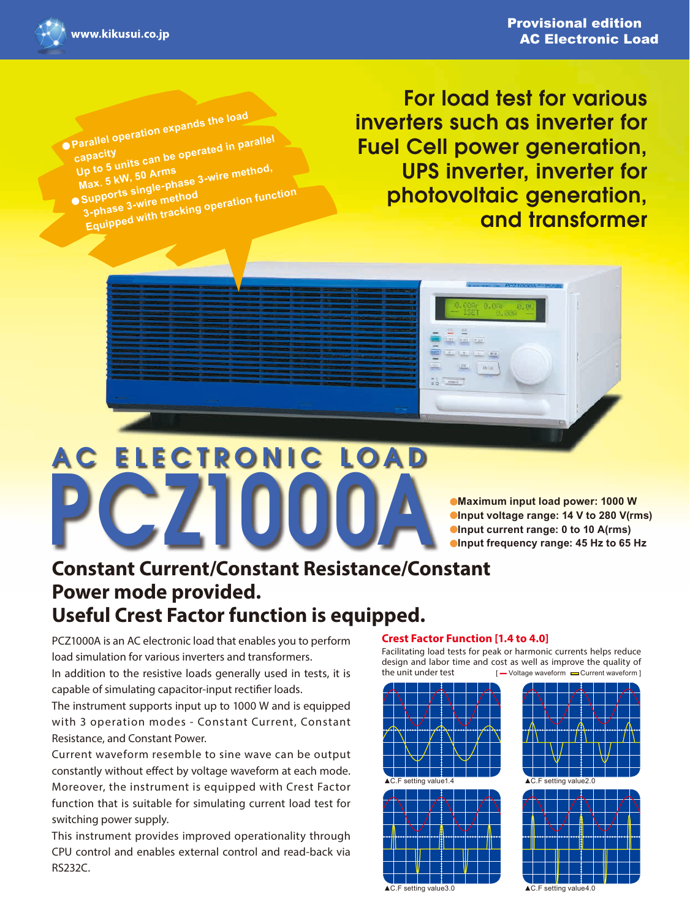

**capacity**

**• Parallel operation expands the load** 

parallel operation<br>capacity<br>Up to 5 units can be operated in parallel<br>Up to 5 unit 50 Arms

**Arms**<br>
Max. 5 kW, 50 Arms<br>
■ Supports single-phase 3-wire method<br>
■ Supports a wire method

**Supports single final dependence in the Supports of the Supports of the Support Supports Supports Supports Supports**<br>Equipped with tracking operation function

For load test for various inverters such as inverter for **Fuel Cell power generation,** UPS inverter, inverter for photovoltaic generation, and transformer

**ILL ANGELE** 



**Maximum input load power: 1000 W •Input voltage range: 14 V to 280 V(rms) •Input current range: 0 to 10 A(rms)**  $\bullet$  **Input frequency range: 45 Hz to 65 Hz** 

# **Constant Current/Constant Resistance/Constant Power mode provided. Useful Crest Factor function is equipped.**

PCZ1000A is an AC electronic load that enables you to perform load simulation for various inverters and transformers. In addition to the resistive loads generally used in tests, it is

capable of simulating capacitor-input rectifier loads.

The instrument supports input up to 1000 W and is equipped with 3 operation modes - Constant Current, Constant Resistance, and Constant Power.

Current waveform resemble to sine wave can be output constantly without effect by voltage waveform at each mode. Moreover, the instrument is equipped with Crest Factor function that is suitable for simulating current load test for switching power supply.

This instrument provides improved operationality through CPU control and enables external control and read-back via RS232C.

#### **Crest Factor Function [1.4 to 4.0]**

Facilitating load tests for peak or harmonic currents helps reduce design and labor time and cost as well as improve the quality of<br>the unit under test  $I -$  Voltage waveform  $\Rightarrow$  Current waveform  $\left[ \begin{array}{c} \blacksquare \end{array} \right]$  Voltage waveform  $\blacksquare$  Current waveform  $\vert$